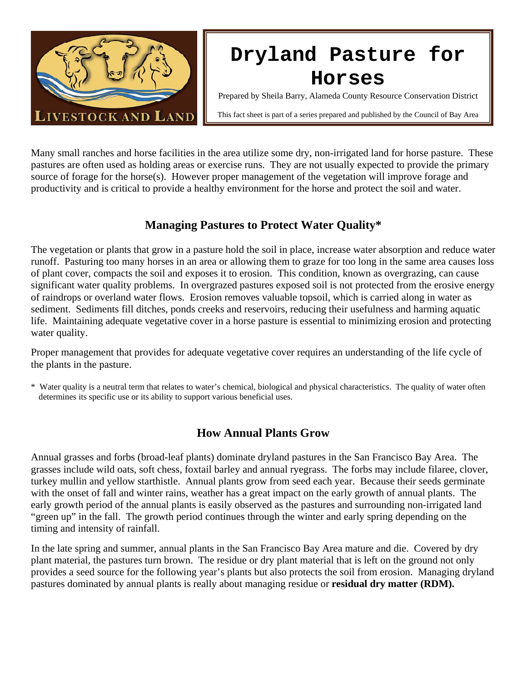

# **Dryland Pasture for Horses**

Prepared by Sheila Barry, Alameda County Resource Conservation District

This fact sheet is part of a series prepared and published by the Council of Bay Area

Many small ranches and horse facilities in the area utilize some dry, non-irrigated land for horse pasture. These pastures are often used as holding areas or exercise runs. They are not usually expected to provide the primary source of forage for the horse(s). However proper management of the vegetation will improve forage and productivity and is critical to provide a healthy environment for the horse and protect the soil and water.

# **Managing Pastures to Protect Water Quality\***

The vegetation or plants that grow in a pasture hold the soil in place, increase water absorption and reduce water runoff. Pasturing too many horses in an area or allowing them to graze for too long in the same area causes loss of plant cover, compacts the soil and exposes it to erosion. This condition, known as overgrazing, can cause significant water quality problems. In overgrazed pastures exposed soil is not protected from the erosive energy of raindrops or overland water flows. Erosion removes valuable topsoil, which is carried along in water as sediment. Sediments fill ditches, ponds creeks and reservoirs, reducing their usefulness and harming aquatic life. Maintaining adequate vegetative cover in a horse pasture is essential to minimizing erosion and protecting water quality.

Proper management that provides for adequate vegetative cover requires an understanding of the life cycle of the plants in the pasture.

\* Water quality is a neutral term that relates to water's chemical, biological and physical characteristics. The quality of water often determines its specific use or its ability to support various beneficial uses.

# **How Annual Plants Grow**

Annual grasses and forbs (broad-leaf plants) dominate dryland pastures in the San Francisco Bay Area. The grasses include wild oats, soft chess, foxtail barley and annual ryegrass. The forbs may include filaree, clover, turkey mullin and yellow starthistle. Annual plants grow from seed each year. Because their seeds germinate with the onset of fall and winter rains, weather has a great impact on the early growth of annual plants. The early growth period of the annual plants is easily observed as the pastures and surrounding non-irrigated land "green up" in the fall. The growth period continues through the winter and early spring depending on the timing and intensity of rainfall.

In the late spring and summer, annual plants in the San Francisco Bay Area mature and die. Covered by dry plant material, the pastures turn brown. The residue or dry plant material that is left on the ground not only provides a seed source for the following year's plants but also protects the soil from erosion. Managing dryland pastures dominated by annual plants is really about managing residue or **residual dry matter (RDM).**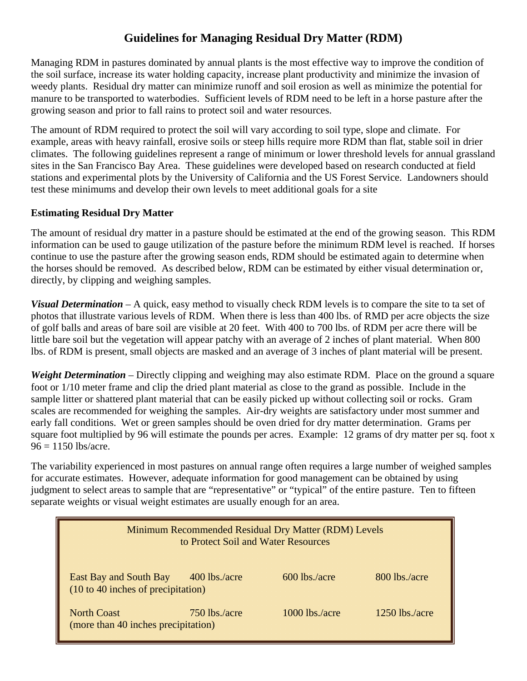# **Guidelines for Managing Residual Dry Matter (RDM)**

Managing RDM in pastures dominated by annual plants is the most effective way to improve the condition of the soil surface, increase its water holding capacity, increase plant productivity and minimize the invasion of weedy plants. Residual dry matter can minimize runoff and soil erosion as well as minimize the potential for manure to be transported to waterbodies. Sufficient levels of RDM need to be left in a horse pasture after the growing season and prior to fall rains to protect soil and water resources.

The amount of RDM required to protect the soil will vary according to soil type, slope and climate. For example, areas with heavy rainfall, erosive soils or steep hills require more RDM than flat, stable soil in drier climates. The following guidelines represent a range of minimum or lower threshold levels for annual grassland sites in the San Francisco Bay Area. These guidelines were developed based on research conducted at field stations and experimental plots by the University of California and the US Forest Service. Landowners should test these minimums and develop their own levels to meet additional goals for a site

#### **Estimating Residual Dry Matter**

The amount of residual dry matter in a pasture should be estimated at the end of the growing season. This RDM information can be used to gauge utilization of the pasture before the minimum RDM level is reached. If horses continue to use the pasture after the growing season ends, RDM should be estimated again to determine when the horses should be removed. As described below, RDM can be estimated by either visual determination or, directly, by clipping and weighing samples.

*Visual Determination* – A quick, easy method to visually check RDM levels is to compare the site to ta set of photos that illustrate various levels of RDM. When there is less than 400 lbs. of RMD per acre objects the size of golf balls and areas of bare soil are visible at 20 feet. With 400 to 700 lbs. of RDM per acre there will be little bare soil but the vegetation will appear patchy with an average of 2 inches of plant material. When 800 lbs. of RDM is present, small objects are masked and an average of 3 inches of plant material will be present.

*Weight Determination* – Directly clipping and weighing may also estimate RDM. Place on the ground a square foot or 1/10 meter frame and clip the dried plant material as close to the grand as possible. Include in the sample litter or shattered plant material that can be easily picked up without collecting soil or rocks. Gram scales are recommended for weighing the samples. Air-dry weights are satisfactory under most summer and early fall conditions. Wet or green samples should be oven dried for dry matter determination. Grams per square foot multiplied by 96 will estimate the pounds per acres. Example: 12 grams of dry matter per sq. foot x  $96 = 1150$  lbs/acre.

The variability experienced in most pastures on annual range often requires a large number of weighed samples for accurate estimates. However, adequate information for good management can be obtained by using iudgment to select areas to sample that are "representative" or "typical" of the entire pasture. Ten to fifteen separate weights or visual weight estimates are usually enough for an area.

| Minimum Recommended Residual Dry Matter (RDM) Levels<br>to Protect Soil and Water Resources |                |                |
|---------------------------------------------------------------------------------------------|----------------|----------------|
| East Bay and South Bay 400 lbs./acre<br>(10 to 40 inches of precipitation)                  | 600 lbs./acre  | 800 lbs./acre  |
| <b>North Coast</b><br>750 lbs./acre<br>(more than 40 inches precipitation)                  | 1000 lbs./acre | 1250 lbs./acre |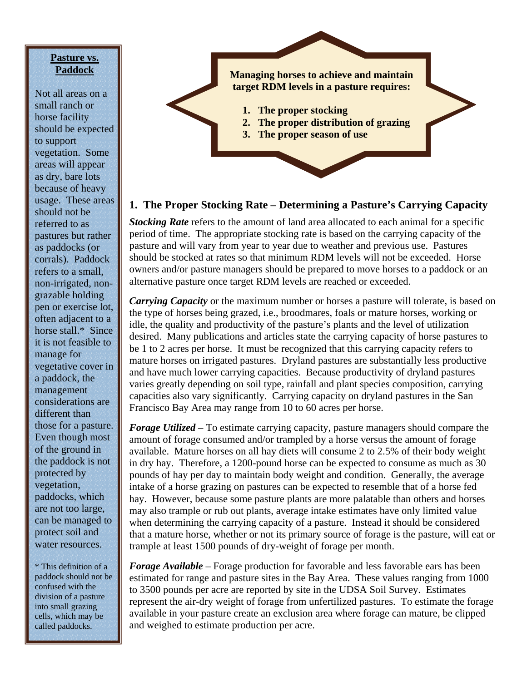#### **Pasture vs. Paddock**

Not all areas on a small ranch or horse facility should be expected to support vegetation. Some areas will appear as dry, bare lots because of heavy usage. These areas should not be referred to as pastures but rather as paddocks (or corrals). Paddock refers to a small, non-irrigated, nongrazable holding pen or exercise lot, often adjacent to a horse stall.\* Since it is not feasible to manage for vegetative cover in a paddock, the management considerations are different than those for a pasture. Even though most of the ground in the paddock is not protected by vegetation, paddocks, which are not too large, can be managed to protect soil and water resources.

\* This definition of a paddock should not be confused with the division of a pasture into small grazing cells, which may be called paddocks.

# **Managing horses to achieve and maintain target RDM levels in a pasture requires: 1. The proper stocking 2. The proper distribution of grazing 3. The proper season of use**

### **1. The Proper Stocking Rate – Determining a Pasture's Carrying Capacity**

*Stocking Rate* refers to the amount of land area allocated to each animal for a specific period of time. The appropriate stocking rate is based on the carrying capacity of the pasture and will vary from year to year due to weather and previous use. Pastures should be stocked at rates so that minimum RDM levels will not be exceeded. Horse owners and/or pasture managers should be prepared to move horses to a paddock or an alternative pasture once target RDM levels are reached or exceeded.

*Carrying Capacity* or the maximum number or horses a pasture will tolerate, is based on the type of horses being grazed, i.e., broodmares, foals or mature horses, working or idle, the quality and productivity of the pasture's plants and the level of utilization desired. Many publications and articles state the carrying capacity of horse pastures to be 1 to 2 acres per horse. It must be recognized that this carrying capacity refers to mature horses on irrigated pastures. Dryland pastures are substantially less productive and have much lower carrying capacities. Because productivity of dryland pastures varies greatly depending on soil type, rainfall and plant species composition, carrying capacities also vary significantly. Carrying capacity on dryland pastures in the San Francisco Bay Area may range from 10 to 60 acres per horse.

*Forage Utilized* – To estimate carrying capacity, pasture managers should compare the amount of forage consumed and/or trampled by a horse versus the amount of forage available. Mature horses on all hay diets will consume 2 to 2.5% of their body weight in dry hay. Therefore, a 1200-pound horse can be expected to consume as much as 30 pounds of hay per day to maintain body weight and condition. Generally, the average intake of a horse grazing on pastures can be expected to resemble that of a horse fed hay. However, because some pasture plants are more palatable than others and horses may also trample or rub out plants, average intake estimates have only limited value when determining the carrying capacity of a pasture. Instead it should be considered that a mature horse, whether or not its primary source of forage is the pasture, will eat or trample at least 1500 pounds of dry-weight of forage per month.

*Forage Available* – Forage production for favorable and less favorable ears has been estimated for range and pasture sites in the Bay Area. These values ranging from 1000 to 3500 pounds per acre are reported by site in the UDSA Soil Survey. Estimates represent the air-dry weight of forage from unfertilized pastures. To estimate the forage available in your pasture create an exclusion area where forage can mature, be clipped and weighed to estimate production per acre.